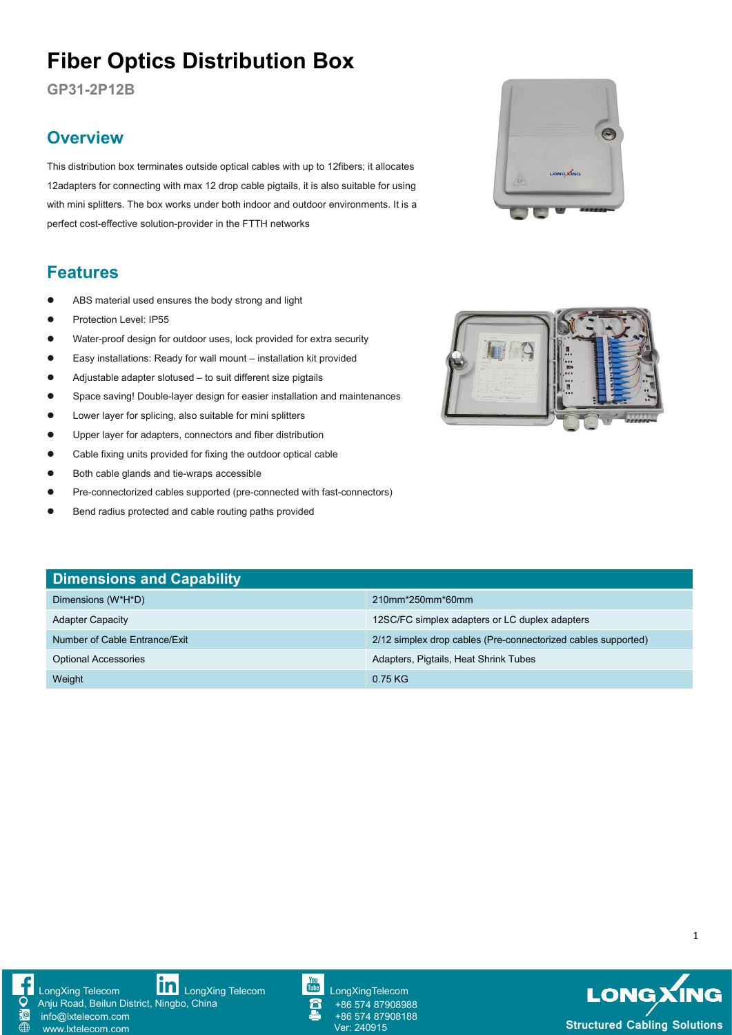# **Fiber Optics Distribution Box**

**GP31-2P12B**

## **Overview**

This distribution box terminates outside optical cables with up to 12fibers; it allocates 12adapters for connecting with max 12 drop cable pigtails, it is also suitable for using with mini splitters. The box works under both indoor and outdoor environments. It is a perfect cost-effective solution-provider in the FTTH networks

### **Features**

- ABS material used ensures the body strong and light
- **•** Protection Level: IP55
- Water-proof design for outdoor uses, lock provided for extra security
- Easy installations: Ready for wall mount installation kit provided
- Adjustable adapter slotused to suit different size pigtails
- Space saving! Double-layer design for easier installation and maintenances
- Lower layer for splicing, also suitable for mini splitters
- Upper layer for adapters, connectors and fiber distribution
- Cable fixing units provided for fixing the outdoor optical cable
- Both cable glands and tie-wraps accessible
- Pre-connectorized cables supported (pre-connected with fast-connectors)
- **•** Bend radius protected and cable routing paths provided





| <b>Dimensions and Capability</b> |                                                               |
|----------------------------------|---------------------------------------------------------------|
| Dimensions (W*H*D)               | 210mm*250mm*60mm                                              |
| <b>Adapter Capacity</b>          | 12SC/FC simplex adapters or LC duplex adapters                |
| Number of Cable Entrance/Exit    | 2/12 simplex drop cables (Pre-connectorized cables supported) |
| <b>Optional Accessories</b>      | Adapters, Pigtails, Heat Shrink Tubes                         |
| Weight                           | $0.75$ KG                                                     |







+86 574 87908988 +86 574 87908188

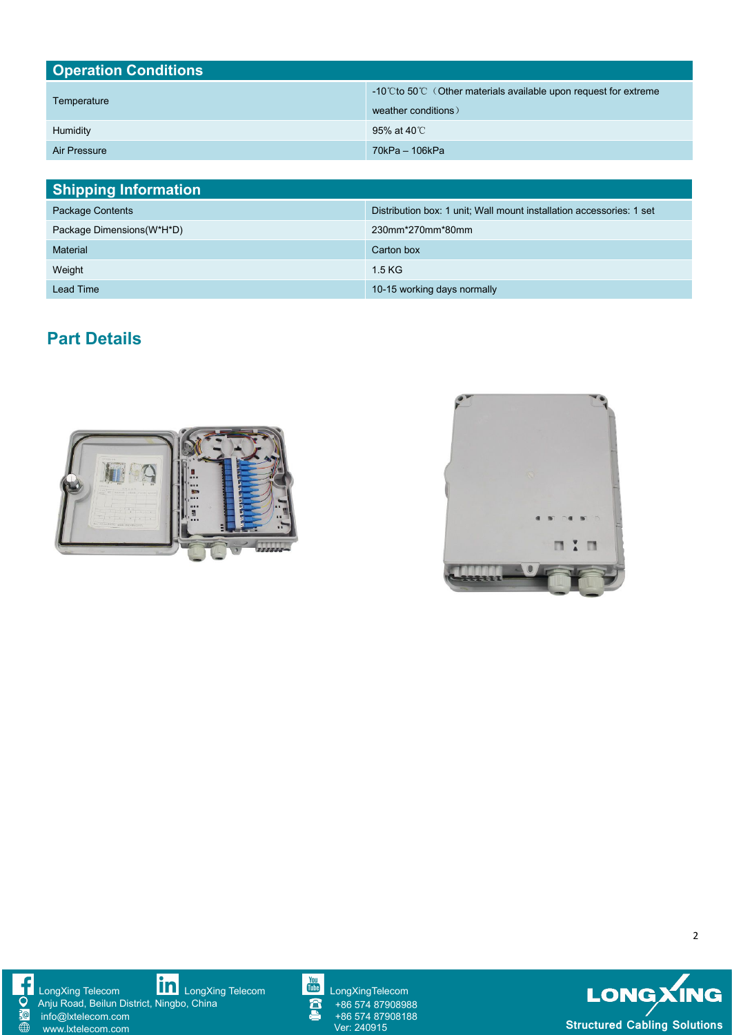| <b>Operation Conditions</b> |                                                                                        |  |
|-----------------------------|----------------------------------------------------------------------------------------|--|
| Temperature                 | -10℃ to 50℃ (Other materials available upon request for extreme<br>weather conditions) |  |
| Humidity                    | 95% at 40℃                                                                             |  |
| Air Pressure                | 70kPa - 106kPa                                                                         |  |

| <b>Shipping Information</b> |                                                                      |
|-----------------------------|----------------------------------------------------------------------|
| Package Contents            | Distribution box: 1 unit; Wall mount installation accessories: 1 set |
| Package Dimensions (W*H*D)  | 230mm*270mm*80mm                                                     |
| <b>Material</b>             | Carton box                                                           |
| Weight                      | 1.5 KG                                                               |
| Lead Time                   | 10-15 working days normally                                          |

## **Part Details**











+86 574 87908988 +86 574 87908188



2